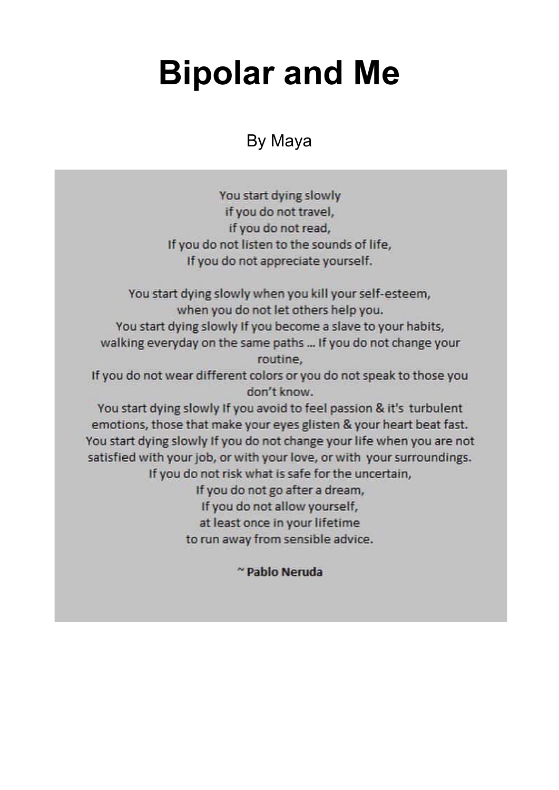## **Bipolar and Me**

## By Maya

You start dying slowly if you do not travel, if you do not read, If you do not listen to the sounds of life, If you do not appreciate yourself.

You start dying slowly when you kill your self-esteem, when you do not let others help you. You start dying slowly If you become a slave to your habits, walking everyday on the same paths ... If you do not change your routine, If you do not wear different colors or you do not speak to those you don't know. You start dying slowly If you avoid to feel passion & it's turbulent emotions, those that make your eyes glisten & your heart beat fast. You start dying slowly If you do not change your life when you are not satisfied with your job, or with your love, or with your surroundings. If you do not risk what is safe for the uncertain, If you do not go after a dream,

If you do not allow yourself, at least once in your lifetime

to run away from sensible advice.

~ Pablo Neruda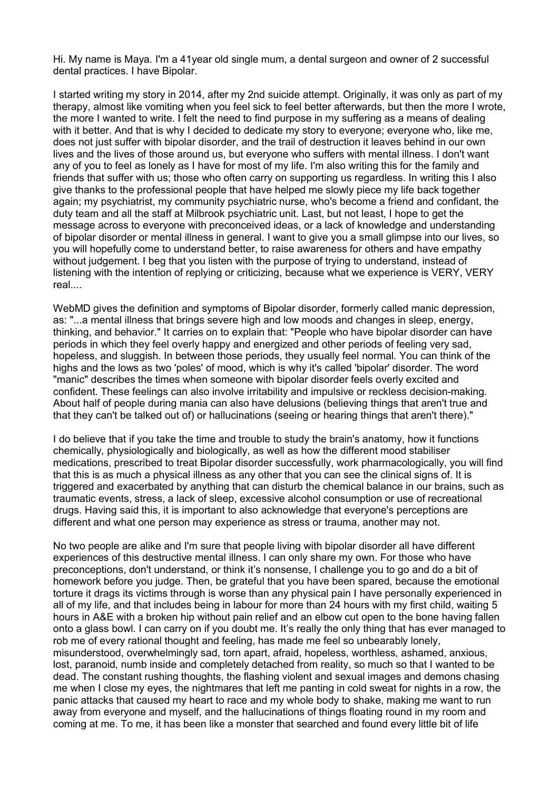Hi. My name is Maya. I'm a 41year old single mum, a dental surgeon and owner of 2 successful dental practices. I have Bipolar.

I started writing my story in 2014, after my 2nd suicide attempt. Originally, it was only as part of my therapy, almost like vomiting when you feel sick to feel better afterwards, but then the more I wrote, the more I wanted to write. I felt the need to find purpose in my suffering as a means of dealing with it better. And that is why I decided to dedicate my story to everyone; everyone who, like me, does not just suffer with bipolar disorder, and the trail of destruction it leaves behind in our own lives and the lives of those around us, but everyone who suffers with mental illness. I don't want any of you to feel as lonely as I have for most of my life. I'm also writing this for the family and friends that suffer with us; those who often carry on supporting us regardless. In writing this I also give thanks to the professional people that have helped me slowly piece my life back together again; my psychiatrist, my community psychiatric nurse, who's become a friend and confidant, the duty team and all the staff at Milbrook psychiatric unit. Last, but not least, I hope to get the message across to everyone with preconceived ideas, or a lack of knowledge and understanding of bipolar disorder or mental illness in general. I want to give you a small glimpse into our lives, so you will hopefully come to understand better, to raise awareness for others and have empathy without judgement. I beg that you listen with the purpose of trying to understand, instead of listening with the intention of replying or criticizing, because what we experience is VERY, VERY real.

WebMD gives the definition and symptoms of Bipolar disorder, formerly called manic depression, as: "...a mental illness that brings severe high and low moods and changes in sleep, energy, thinking, and behavior." It carries on to explain that: "People who have bipolar disorder can have periods in which they feel overly happy and energized and other periods of feeling very sad, hopeless, and sluggish. In between those periods, they usually feel normal. You can think of the highs and the lows as two 'poles' of mood, which is why it's called 'bipolar' disorder. The word "manic" describes the times when someone with bipolar disorder feels overly excited and confident. These feelings can also involve irritability and impulsive or reckless decision-making. About half of people during mania can also have delusions (believing things that aren't true and that they can't be talked out of) or hallucinations (seeing or hearing things that aren't there)."

I do believe that if you take the time and trouble to study the brain's anatomy, how it functions chemically, physiologically and biologically, as well as how the different mood stabiliser medications, prescribed to treat Bipolar disorder successfully, work pharmacologically, you will find that this is as much a physical illness as any other that you can see the clinical signs of. It is triggered and exacerbated by anything that can disturb the chemical balance in our brains, such as traumatic events, stress, a lack of sleep, excessive alcohol consumption or use of recreational drugs. Having said this, it is important to also acknowledge that everyone's perceptions are different and what one person may experience as stress or trauma, another may not.

No two people are alike and I'm sure that people living with bipolar disorder all have different experiences of this destructive mental illness. I can only share my own. For those who have preconceptions, don't understand, or think it's nonsense, I challenge you to go and do a bit of homework before you judge. Then, be grateful that you have been spared, because the emotional torture it drags its victims through is worse than any physical pain I have personally experienced in all of my life, and that includes being in labour for more than 24 hours with my first child, waiting 5 hours in A&E with a broken hip without pain relief and an elbow cut open to the bone having fallen onto a glass bowl. I can carry on if you doubt me. It's really the only thing that has ever managed to rob me of every rational thought and feeling, has made me feel so unbearably lonely, misunderstood, overwhelmingly sad, torn apart, afraid, hopeless, worthless, ashamed, anxious, lost, paranoid, numb inside and completely detached from reality, so much so that I wanted to be dead. The constant rushing thoughts, the flashing violent and sexual images and demons chasing me when I close my eyes, the nightmares that left me panting in cold sweat for nights in a row, the panic attacks that caused my heart to race and my whole body to shake, making me want to run away from everyone and myself, and the hallucinations of things floating round in my room and coming at me. To me, it has been like a monster that searched and found every little bit of life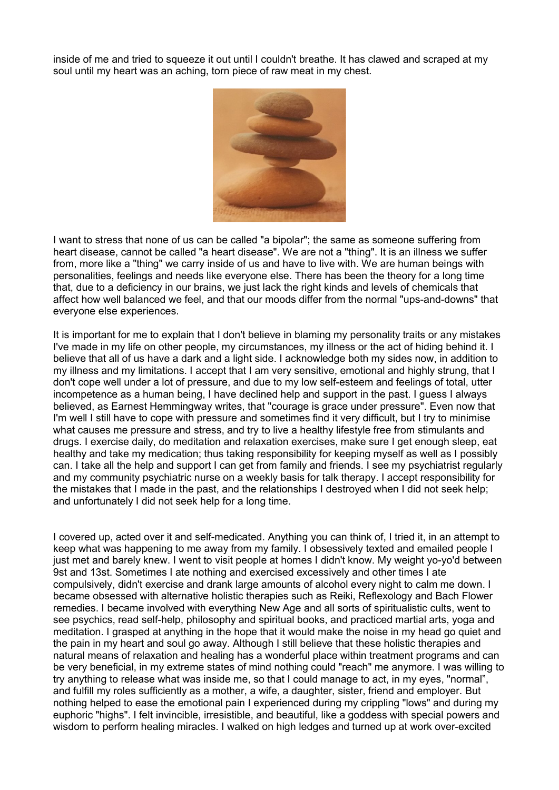inside of me and tried to squeeze it out until I couldn't breathe. It has clawed and scraped at my soul until my heart was an aching, torn piece of raw meat in my chest.



I want to stress that none of us can be called "a bipolar"; the same as someone suffering from heart disease, cannot be called "a heart disease". We are not a "thing". It is an illness we suffer from, more like a "thing" we carry inside of us and have to live with. We are human beings with personalities, feelings and needs like everyone else. There has been the theory for a long time that, due to a deficiency in our brains, we just lack the right kinds and levels of chemicals that affect how well balanced we feel, and that our moods differ from the normal "ups-and-downs" that everyone else experiences.

It is important for me to explain that I don't believe in blaming my personality traits or any mistakes I've made in my life on other people, my circumstances, my illness or the act of hiding behind it. I believe that all of us have a dark and a light side. I acknowledge both my sides now, in addition to my illness and my limitations. I accept that I am very sensitive, emotional and highly strung, that I don't cope well under a lot of pressure, and due to my low self-esteem and feelings of total, utter incompetence as a human being, I have declined help and support in the past. I guess I always believed, as Earnest Hemmingway writes, that "courage is grace under pressure". Even now that I'm well I still have to cope with pressure and sometimes find it very difficult, but I try to minimise what causes me pressure and stress, and try to live a healthy lifestyle free from stimulants and drugs. I exercise daily, do meditation and relaxation exercises, make sure I get enough sleep, eat healthy and take my medication; thus taking responsibility for keeping myself as well as I possibly can. I take all the help and support I can get from family and friends. I see my psychiatrist regularly and my community psychiatric nurse on a weekly basis for talk therapy. I accept responsibility for the mistakes that I made in the past, and the relationships I destroyed when I did not seek help; and unfortunately I did not seek help for a long time.

I covered up, acted over it and self-medicated. Anything you can think of, I tried it, in an attempt to keep what was happening to me away from my family. I obsessively texted and emailed people I just met and barely knew. I went to visit people at homes I didn't know. My weight yo-yo'd between 9st and 13st. Sometimes I ate nothing and exercised excessively and other times I ate compulsively, didn't exercise and drank large amounts of alcohol every night to calm me down. I became obsessed with alternative holistic therapies such as Reiki, Reflexology and Bach Flower remedies. I became involved with everything New Age and all sorts of spiritualistic cults, went to see psychics, read self-help, philosophy and spiritual books, and practiced martial arts, yoga and meditation. I grasped at anything in the hope that it would make the noise in my head go quiet and the pain in my heart and soul go away. Although I still believe that these holistic therapies and natural means of relaxation and healing has a wonderful place within treatment programs and can be very beneficial, in my extreme states of mind nothing could "reach" me anymore. I was willing to try anything to release what was inside me, so that I could manage to act, in my eyes, "normal", and fulfill my roles sufficiently as a mother, a wife, a daughter, sister, friend and employer. But nothing helped to ease the emotional pain I experienced during my crippling "lows" and during my euphoric "highs". I felt invincible, irresistible, and beautiful, like a goddess with special powers and wisdom to perform healing miracles. I walked on high ledges and turned up at work over-excited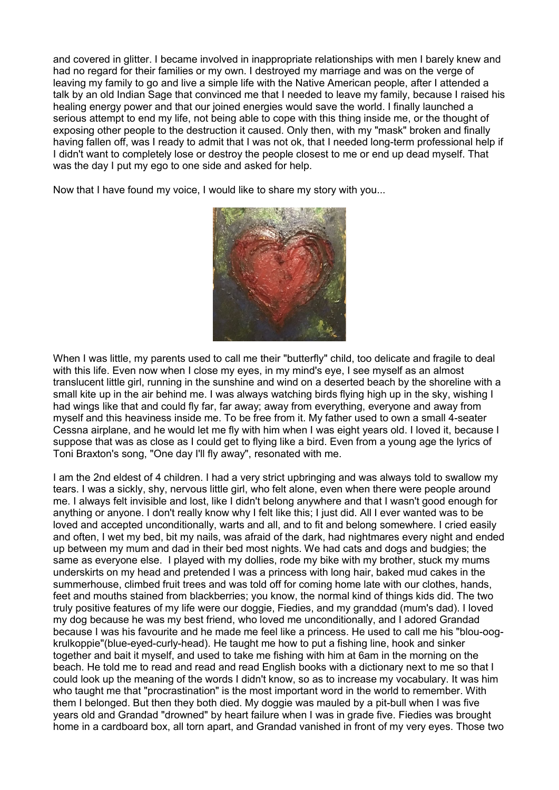and covered in glitter. I became involved in inappropriate relationships with men I barely knew and had no regard for their families or my own. I destroyed my marriage and was on the verge of leaving my family to go and live a simple life with the Native American people, after I attended a talk by an old Indian Sage that convinced me that I needed to leave my family, because I raised his healing energy power and that our joined energies would save the world. I finally launched a serious attempt to end my life, not being able to cope with this thing inside me, or the thought of exposing other people to the destruction it caused. Only then, with my "mask" broken and finally having fallen off, was I ready to admit that I was not ok, that I needed long-term professional help if I didn't want to completely lose or destroy the people closest to me or end up dead myself. That was the day I put my ego to one side and asked for help.

Now that I have found my voice, I would like to share my story with you...



When I was little, my parents used to call me their "butterfly" child, too delicate and fragile to deal with this life. Even now when I close my eyes, in my mind's eye, I see myself as an almost translucent little girl, running in the sunshine and wind on a deserted beach by the shoreline with a small kite up in the air behind me. I was always watching birds flying high up in the sky, wishing I had wings like that and could fly far, far away; away from everything, everyone and away from myself and this heaviness inside me. To be free from it. My father used to own a small 4-seater Cessna airplane, and he would let me fly with him when I was eight years old. I loved it, because I suppose that was as close as I could get to flying like a bird. Even from a young age the lyrics of Toni Braxton's song, "One day I'll fly away", resonated with me.

I am the 2nd eldest of 4 children. I had a very strict upbringing and was always told to swallow my tears. I was a sickly, shy, nervous little girl, who felt alone, even when there were people around me. I always felt invisible and lost, like I didn't belong anywhere and that I wasn't good enough for anything or anyone. I don't really know why I felt like this; I just did. All I ever wanted was to be loved and accepted unconditionally, warts and all, and to fit and belong somewhere. I cried easily and often, I wet my bed, bit my nails, was afraid of the dark, had nightmares every night and ended up between my mum and dad in their bed most nights. We had cats and dogs and budgies; the same as everyone else. I played with my dollies, rode my bike with my brother, stuck my mums underskirts on my head and pretended I was a princess with long hair, baked mud cakes in the summerhouse, climbed fruit trees and was told off for coming home late with our clothes, hands, feet and mouths stained from blackberries; you know, the normal kind of things kids did. The two truly positive features of my life were our doggie, Fiedies, and my granddad (mum's dad). I loved my dog because he was my best friend, who loved me unconditionally, and I adored Grandad because I was his favourite and he made me feel like a princess. He used to call me his "blou-oogkrulkoppie"(blue-eyed-curly-head). He taught me how to put a fishing line, hook and sinker together and bait it myself, and used to take me fishing with him at 6am in the morning on the beach. He told me to read and read and read English books with a dictionary next to me so that I could look up the meaning of the words I didn't know, so as to increase my vocabulary. It was him who taught me that "procrastination" is the most important word in the world to remember. With them I belonged. But then they both died. My doggie was mauled by a pit-bull when I was five years old and Grandad "drowned" by heart failure when I was in grade five. Fiedies was brought home in a cardboard box, all torn apart, and Grandad vanished in front of my very eyes. Those two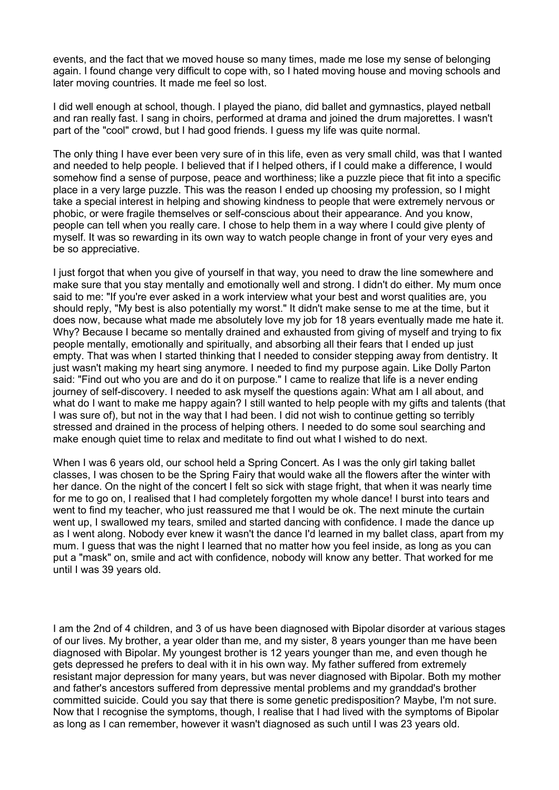events, and the fact that we moved house so many times, made me lose my sense of belonging again. I found change very difficult to cope with, so I hated moving house and moving schools and later moving countries. It made me feel so lost.

I did well enough at school, though. I played the piano, did ballet and gymnastics, played netball and ran really fast. I sang in choirs, performed at drama and joined the drum majorettes. I wasn't part of the "cool" crowd, but I had good friends. I guess my life was quite normal.

The only thing I have ever been very sure of in this life, even as very small child, was that I wanted and needed to help people. I believed that if I helped others, if I could make a difference, I would somehow find a sense of purpose, peace and worthiness; like a puzzle piece that fit into a specific place in a very large puzzle. This was the reason I ended up choosing my profession, so I might take a special interest in helping and showing kindness to people that were extremely nervous or phobic, or were fragile themselves or self-conscious about their appearance. And you know, people can tell when you really care. I chose to help them in a way where I could give plenty of myself. It was so rewarding in its own way to watch people change in front of your very eyes and be so appreciative.

I just forgot that when you give of yourself in that way, you need to draw the line somewhere and make sure that you stay mentally and emotionally well and strong. I didn't do either. My mum once said to me: "If you're ever asked in a work interview what your best and worst qualities are, you should reply, "My best is also potentially my worst." It didn't make sense to me at the time, but it does now, because what made me absolutely love my job for 18 years eventually made me hate it. Why? Because I became so mentally drained and exhausted from giving of myself and trying to fix people mentally, emotionally and spiritually, and absorbing all their fears that I ended up just empty. That was when I started thinking that I needed to consider stepping away from dentistry. It just wasn't making my heart sing anymore. I needed to find my purpose again. Like Dolly Parton said: "Find out who you are and do it on purpose." I came to realize that life is a never ending journey of self-discovery. I needed to ask myself the questions again: What am I all about, and what do I want to make me happy again? I still wanted to help people with my gifts and talents (that I was sure of), but not in the way that I had been. I did not wish to continue getting so terribly stressed and drained in the process of helping others. I needed to do some soul searching and make enough quiet time to relax and meditate to find out what I wished to do next.

When I was 6 years old, our school held a Spring Concert. As I was the only girl taking ballet classes, I was chosen to be the Spring Fairy that would wake all the flowers after the winter with her dance. On the night of the concert I felt so sick with stage fright, that when it was nearly time for me to go on, I realised that I had completely forgotten my whole dance! I burst into tears and went to find my teacher, who just reassured me that I would be ok. The next minute the curtain went up, I swallowed my tears, smiled and started dancing with confidence. I made the dance up as I went along. Nobody ever knew it wasn't the dance I'd learned in my ballet class, apart from my mum. I guess that was the night I learned that no matter how you feel inside, as long as you can put a "mask" on, smile and act with confidence, nobody will know any better. That worked for me until I was 39 years old.

I am the 2nd of 4 children, and 3 of us have been diagnosed with Bipolar disorder at various stages of our lives. My brother, a year older than me, and my sister, 8 years younger than me have been diagnosed with Bipolar. My youngest brother is 12 years younger than me, and even though he gets depressed he prefers to deal with it in his own way. My father suffered from extremely resistant major depression for many years, but was never diagnosed with Bipolar. Both my mother and father's ancestors suffered from depressive mental problems and my granddad's brother committed suicide. Could you say that there is some genetic predisposition? Maybe, I'm not sure. Now that I recognise the symptoms, though, I realise that I had lived with the symptoms of Bipolar as long as I can remember, however it wasn't diagnosed as such until I was 23 years old.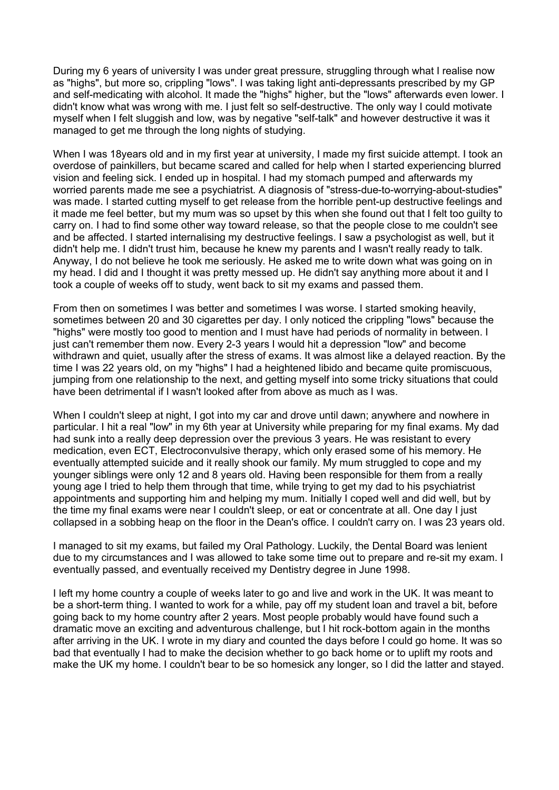During my 6 years of university I was under great pressure, struggling through what I realise now as "highs", but more so, crippling "lows". I was taking light anti-depressants prescribed by my GP and self-medicating with alcohol. It made the "highs" higher, but the "lows" afterwards even lower. I didn't know what was wrong with me. I just felt so self-destructive. The only way I could motivate myself when I felt sluggish and low, was by negative "self-talk" and however destructive it was it managed to get me through the long nights of studying.

When I was 18years old and in my first year at university, I made my first suicide attempt. I took an overdose of painkillers, but became scared and called for help when I started experiencing blurred vision and feeling sick. I ended up in hospital. I had my stomach pumped and afterwards my worried parents made me see a psychiatrist. A diagnosis of "stress-due-to-worrying-about-studies" was made. I started cutting myself to get release from the horrible pent-up destructive feelings and it made me feel better, but my mum was so upset by this when she found out that I felt too guilty to carry on. I had to find some other way toward release, so that the people close to me couldn't see and be affected. I started internalising my destructive feelings. I saw a psychologist as well, but it didn't help me. I didn't trust him, because he knew my parents and I wasn't really ready to talk. Anyway, I do not believe he took me seriously. He asked me to write down what was going on in my head. I did and I thought it was pretty messed up. He didn't say anything more about it and I took a couple of weeks off to study, went back to sit my exams and passed them.

From then on sometimes I was better and sometimes I was worse. I started smoking heavily, sometimes between 20 and 30 cigarettes per day. I only noticed the crippling "lows" because the "highs" were mostly too good to mention and I must have had periods of normality in between. I just can't remember them now. Every 2-3 years I would hit a depression "low" and become withdrawn and quiet, usually after the stress of exams. It was almost like a delayed reaction. By the time I was 22 years old, on my "highs" I had a heightened libido and became quite promiscuous, jumping from one relationship to the next, and getting myself into some tricky situations that could have been detrimental if I wasn't looked after from above as much as I was.

When I couldn't sleep at night, I got into my car and drove until dawn; anywhere and nowhere in particular. I hit a real "low" in my 6th year at University while preparing for my final exams. My dad had sunk into a really deep depression over the previous 3 years. He was resistant to every medication, even ECT, Electroconvulsive therapy, which only erased some of his memory. He eventually attempted suicide and it really shook our family. My mum struggled to cope and my younger siblings were only 12 and 8 years old. Having been responsible for them from a really young age I tried to help them through that time, while trying to get my dad to his psychiatrist appointments and supporting him and helping my mum. Initially I coped well and did well, but by the time my final exams were near I couldn't sleep, or eat or concentrate at all. One day I just collapsed in a sobbing heap on the floor in the Dean's office. I couldn't carry on. I was 23 years old.

I managed to sit my exams, but failed my Oral Pathology. Luckily, the Dental Board was lenient due to my circumstances and I was allowed to take some time out to prepare and re-sit my exam. I eventually passed, and eventually received my Dentistry degree in June 1998.

I left my home country a couple of weeks later to go and live and work in the UK. It was meant to be a short-term thing. I wanted to work for a while, pay off my student loan and travel a bit, before going back to my home country after 2 years. Most people probably would have found such a dramatic move an exciting and adventurous challenge, but I hit rock-bottom again in the months after arriving in the UK. I wrote in my diary and counted the days before I could go home. It was so bad that eventually I had to make the decision whether to go back home or to uplift my roots and make the UK my home. I couldn't bear to be so homesick any longer, so I did the latter and stayed.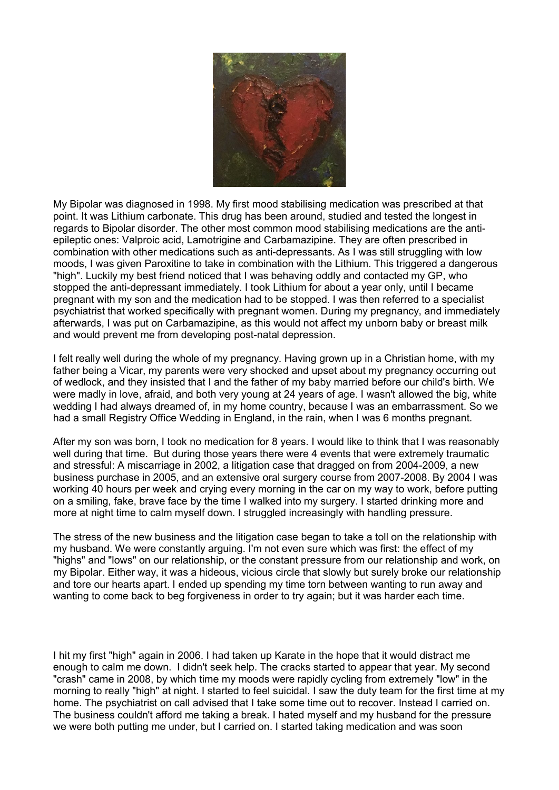

My Bipolar was diagnosed in 1998. My first mood stabilising medication was prescribed at that point. It was Lithium carbonate. This drug has been around, studied and tested the longest in regards to Bipolar disorder. The other most common mood stabilising medications are the antiepileptic ones: Valproic acid, Lamotrigine and Carbamazipine. They are often prescribed in combination with other medications such as anti-depressants. As I was still struggling with low moods, I was given Paroxitine to take in combination with the Lithium. This triggered a dangerous "high". Luckily my best friend noticed that I was behaving oddly and contacted my GP, who stopped the anti-depressant immediately. I took Lithium for about a year only, until I became pregnant with my son and the medication had to be stopped. I was then referred to a specialist psychiatrist that worked specifically with pregnant women. During my pregnancy, and immediately afterwards, I was put on Carbamazipine, as this would not affect my unborn baby or breast milk and would prevent me from developing post-natal depression.

I felt really well during the whole of my pregnancy. Having grown up in a Christian home, with my father being a Vicar, my parents were very shocked and upset about my pregnancy occurring out of wedlock, and they insisted that I and the father of my baby married before our child's birth. We were madly in love, afraid, and both very young at 24 years of age. I wasn't allowed the big, white wedding I had always dreamed of, in my home country, because I was an embarrassment. So we had a small Registry Office Wedding in England, in the rain, when I was 6 months pregnant.

After my son was born, I took no medication for 8 years. I would like to think that I was reasonably well during that time. But during those years there were 4 events that were extremely traumatic and stressful: A miscarriage in 2002, a litigation case that dragged on from 2004-2009, a new business purchase in 2005, and an extensive oral surgery course from 2007-2008. By 2004 I was working 40 hours per week and crying every morning in the car on my way to work, before putting on a smiling, fake, brave face by the time I walked into my surgery. I started drinking more and more at night time to calm myself down. I struggled increasingly with handling pressure.

The stress of the new business and the litigation case began to take a toll on the relationship with my husband. We were constantly arguing. I'm not even sure which was first: the effect of my "highs" and "lows" on our relationship, or the constant pressure from our relationship and work, on my Bipolar. Either way, it was a hideous, vicious circle that slowly but surely broke our relationship and tore our hearts apart. I ended up spending my time torn between wanting to run away and wanting to come back to beg forgiveness in order to try again; but it was harder each time.

I hit my first "high" again in 2006. I had taken up Karate in the hope that it would distract me enough to calm me down. I didn't seek help. The cracks started to appear that year. My second "crash" came in 2008, by which time my moods were rapidly cycling from extremely "low" in the morning to really "high" at night. I started to feel suicidal. I saw the duty team for the first time at my home. The psychiatrist on call advised that I take some time out to recover. Instead I carried on. The business couldn't afford me taking a break. I hated myself and my husband for the pressure we were both putting me under, but I carried on. I started taking medication and was soon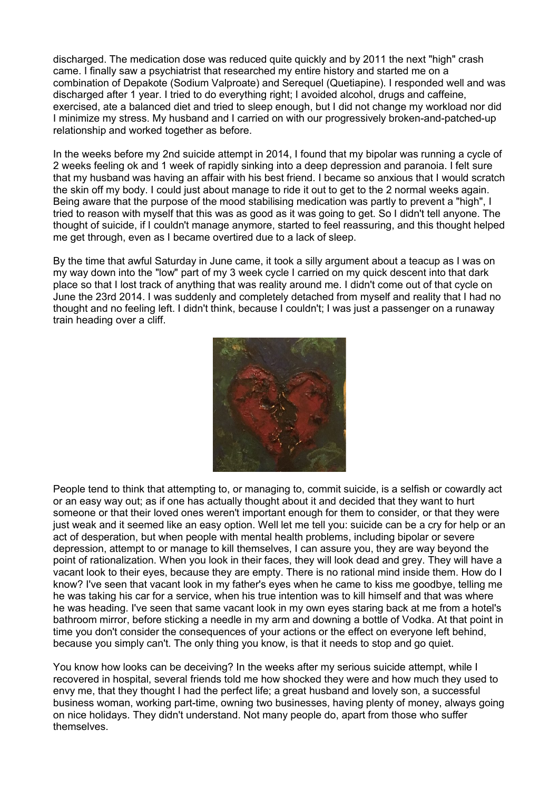discharged. The medication dose was reduced quite quickly and by 2011 the next "high" crash came. I finally saw a psychiatrist that researched my entire history and started me on a combination of Depakote (Sodium Valproate) and Serequel (Quetiapine). I responded well and was discharged after 1 year. I tried to do everything right; I avoided alcohol, drugs and caffeine, exercised, ate a balanced diet and tried to sleep enough, but I did not change my workload nor did I minimize my stress. My husband and I carried on with our progressively broken-and-patched-up relationship and worked together as before.

In the weeks before my 2nd suicide attempt in 2014, I found that my bipolar was running a cycle of 2 weeks feeling ok and 1 week of rapidly sinking into a deep depression and paranoia. I felt sure that my husband was having an affair with his best friend. I became so anxious that I would scratch the skin off my body. I could just about manage to ride it out to get to the 2 normal weeks again. Being aware that the purpose of the mood stabilising medication was partly to prevent a "high", I tried to reason with myself that this was as good as it was going to get. So I didn't tell anyone. The thought of suicide, if I couldn't manage anymore, started to feel reassuring, and this thought helped me get through, even as I became overtired due to a lack of sleep.

By the time that awful Saturday in June came, it took a silly argument about a teacup as I was on my way down into the "low" part of my 3 week cycle I carried on my quick descent into that dark place so that I lost track of anything that was reality around me. I didn't come out of that cycle on June the 23rd 2014. I was suddenly and completely detached from myself and reality that I had no thought and no feeling left. I didn't think, because I couldn't; I was just a passenger on a runaway train heading over a cliff.



People tend to think that attempting to, or managing to, commit suicide, is a selfish or cowardly act or an easy way out; as if one has actually thought about it and decided that they want to hurt someone or that their loved ones weren't important enough for them to consider, or that they were just weak and it seemed like an easy option. Well let me tell you: suicide can be a cry for help or an act of desperation, but when people with mental health problems, including bipolar or severe depression, attempt to or manage to kill themselves, I can assure you, they are way beyond the point of rationalization. When you look in their faces, they will look dead and grey. They will have a vacant look to their eyes, because they are empty. There is no rational mind inside them. How do I know? I've seen that vacant look in my father's eyes when he came to kiss me goodbye, telling me he was taking his car for a service, when his true intention was to kill himself and that was where he was heading. I've seen that same vacant look in my own eyes staring back at me from a hotel's bathroom mirror, before sticking a needle in my arm and downing a bottle of Vodka. At that point in time you don't consider the consequences of your actions or the effect on everyone left behind, because you simply can't. The only thing you know, is that it needs to stop and go quiet.

You know how looks can be deceiving? In the weeks after my serious suicide attempt, while I recovered in hospital, several friends told me how shocked they were and how much they used to envy me, that they thought I had the perfect life; a great husband and lovely son, a successful business woman, working part-time, owning two businesses, having plenty of money, always going on nice holidays. They didn't understand. Not many people do, apart from those who suffer themselves.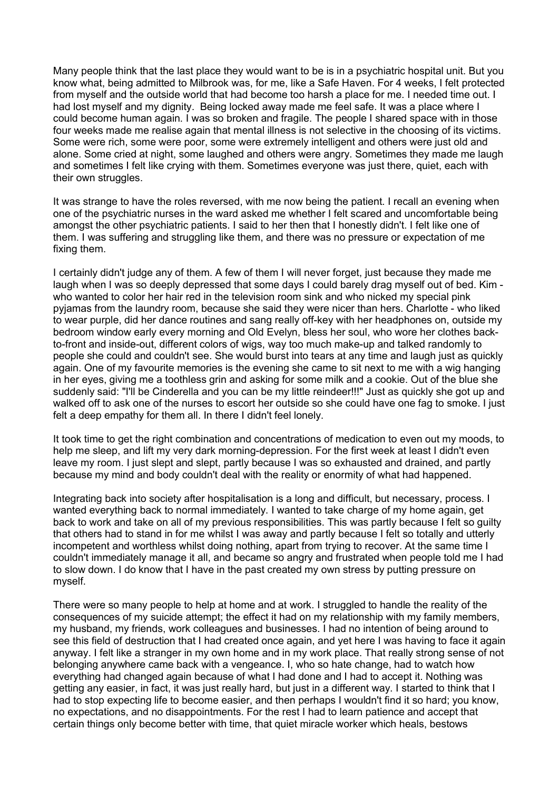Many people think that the last place they would want to be is in a psychiatric hospital unit. But you know what, being admitted to Milbrook was, for me, like a Safe Haven. For 4 weeks, I felt protected from myself and the outside world that had become too harsh a place for me. I needed time out. I had lost myself and my dignity. Being locked away made me feel safe. It was a place where I could become human again. I was so broken and fragile. The people I shared space with in those four weeks made me realise again that mental illness is not selective in the choosing of its victims. Some were rich, some were poor, some were extremely intelligent and others were just old and alone. Some cried at night, some laughed and others were angry. Sometimes they made me laugh and sometimes I felt like crying with them. Sometimes everyone was just there, quiet, each with their own struggles.

It was strange to have the roles reversed, with me now being the patient. I recall an evening when one of the psychiatric nurses in the ward asked me whether I felt scared and uncomfortable being amongst the other psychiatric patients. I said to her then that I honestly didn't. I felt like one of them. I was suffering and struggling like them, and there was no pressure or expectation of me fixing them.

I certainly didn't judge any of them. A few of them I will never forget, just because they made me laugh when I was so deeply depressed that some days I could barely drag myself out of bed. Kim who wanted to color her hair red in the television room sink and who nicked my special pink pyjamas from the laundry room, because she said they were nicer than hers. Charlotte - who liked to wear purple, did her dance routines and sang really off-key with her headphones on, outside my bedroom window early every morning and Old Evelyn, bless her soul, who wore her clothes backto-front and inside-out, different colors of wigs, way too much make-up and talked randomly to people she could and couldn't see. She would burst into tears at any time and laugh just as quickly again. One of my favourite memories is the evening she came to sit next to me with a wig hanging in her eyes, giving me a toothless grin and asking for some milk and a cookie. Out of the blue she suddenly said: "I'll be Cinderella and you can be my little reindeer!!!" Just as quickly she got up and walked off to ask one of the nurses to escort her outside so she could have one fag to smoke. I just felt a deep empathy for them all. In there I didn't feel lonely.

It took time to get the right combination and concentrations of medication to even out my moods, to help me sleep, and lift my very dark morning-depression. For the first week at least I didn't even leave my room. I just slept and slept, partly because I was so exhausted and drained, and partly because my mind and body couldn't deal with the reality or enormity of what had happened.

Integrating back into society after hospitalisation is a long and difficult, but necessary, process. I wanted everything back to normal immediately. I wanted to take charge of my home again, get back to work and take on all of my previous responsibilities. This was partly because I felt so guilty that others had to stand in for me whilst I was away and partly because I felt so totally and utterly incompetent and worthless whilst doing nothing, apart from trying to recover. At the same time I couldn't immediately manage it all, and became so angry and frustrated when people told me I had to slow down. I do know that I have in the past created my own stress by putting pressure on myself.

There were so many people to help at home and at work. I struggled to handle the reality of the consequences of my suicide attempt; the effect it had on my relationship with my family members, my husband, my friends, work colleagues and businesses. I had no intention of being around to see this field of destruction that I had created once again, and yet here I was having to face it again anyway. I felt like a stranger in my own home and in my work place. That really strong sense of not belonging anywhere came back with a vengeance. I, who so hate change, had to watch how everything had changed again because of what I had done and I had to accept it. Nothing was getting any easier, in fact, it was just really hard, but just in a different way. I started to think that I had to stop expecting life to become easier, and then perhaps I wouldn't find it so hard; you know, no expectations, and no disappointments. For the rest I had to learn patience and accept that certain things only become better with time, that quiet miracle worker which heals, bestows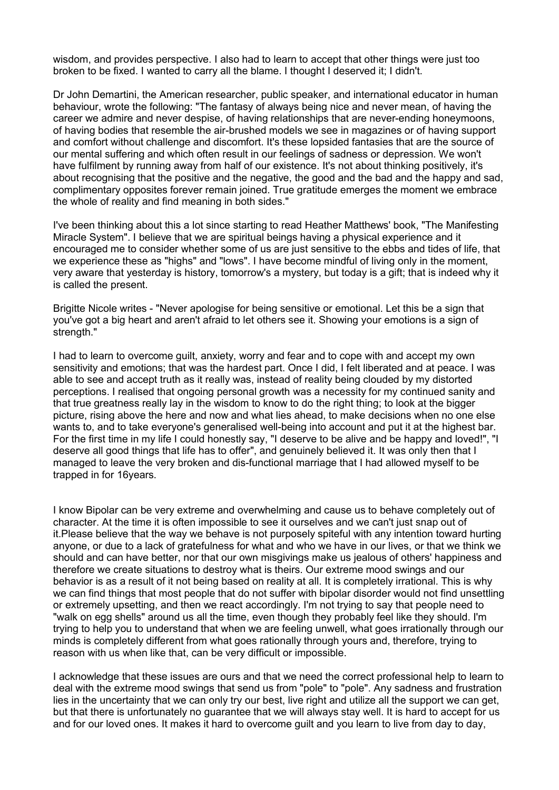wisdom, and provides perspective. I also had to learn to accept that other things were just too broken to be fixed. I wanted to carry all the blame. I thought I deserved it; I didn't.

Dr John Demartini, the American researcher, public speaker, and international educator in human behaviour, wrote the following: "The fantasy of always being nice and never mean, of having the career we admire and never despise, of having relationships that are never-ending honeymoons, of having bodies that resemble the air-brushed models we see in magazines or of having support and comfort without challenge and discomfort. It's these lopsided fantasies that are the source of our mental suffering and which often result in our feelings of sadness or depression. We won't have fulfilment by running away from half of our existence. It's not about thinking positively, it's about recognising that the positive and the negative, the good and the bad and the happy and sad, complimentary opposites forever remain joined. True gratitude emerges the moment we embrace the whole of reality and find meaning in both sides."

I've been thinking about this a lot since starting to read Heather Matthews' book, "The Manifesting Miracle System". I believe that we are spiritual beings having a physical experience and it encouraged me to consider whether some of us are just sensitive to the ebbs and tides of life, that we experience these as "highs" and "lows". I have become mindful of living only in the moment, very aware that yesterday is history, tomorrow's a mystery, but today is a gift; that is indeed why it is called the present.

Brigitte Nicole writes - "Never apologise for being sensitive or emotional. Let this be a sign that you've got a big heart and aren't afraid to let others see it. Showing your emotions is a sign of strength."

I had to learn to overcome guilt, anxiety, worry and fear and to cope with and accept my own sensitivity and emotions; that was the hardest part. Once I did, I felt liberated and at peace. I was able to see and accept truth as it really was, instead of reality being clouded by my distorted perceptions. I realised that ongoing personal growth was a necessity for my continued sanity and that true greatness really lay in the wisdom to know to do the right thing; to look at the bigger picture, rising above the here and now and what lies ahead, to make decisions when no one else wants to, and to take everyone's generalised well-being into account and put it at the highest bar. For the first time in my life I could honestly say, "I deserve to be alive and be happy and loved!", "I deserve all good things that life has to offer", and genuinely believed it. It was only then that I managed to leave the very broken and dis-functional marriage that I had allowed myself to be trapped in for 16years.

I know Bipolar can be very extreme and overwhelming and cause us to behave completely out of character. At the time it is often impossible to see it ourselves and we can't just snap out of it.Please believe that the way we behave is not purposely spiteful with any intention toward hurting anyone, or due to a lack of gratefulness for what and who we have in our lives, or that we think we should and can have better, nor that our own misgivings make us jealous of others' happiness and therefore we create situations to destroy what is theirs. Our extreme mood swings and our behavior is as a result of it not being based on reality at all. It is completely irrational. This is why we can find things that most people that do not suffer with bipolar disorder would not find unsettling or extremely upsetting, and then we react accordingly. I'm not trying to say that people need to "walk on egg shells" around us all the time, even though they probably feel like they should. I'm trying to help you to understand that when we are feeling unwell, what goes irrationally through our minds is completely different from what goes rationally through yours and, therefore, trying to reason with us when like that, can be very difficult or impossible.

I acknowledge that these issues are ours and that we need the correct professional help to learn to deal with the extreme mood swings that send us from "pole" to "pole". Any sadness and frustration lies in the uncertainty that we can only try our best, live right and utilize all the support we can get, but that there is unfortunately no guarantee that we will always stay well. It is hard to accept for us and for our loved ones. It makes it hard to overcome guilt and you learn to live from day to day,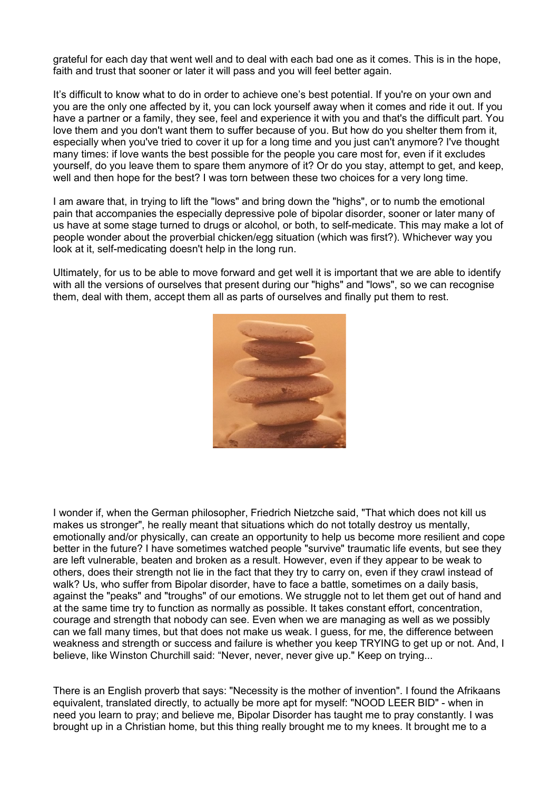grateful for each day that went well and to deal with each bad one as it comes. This is in the hope, faith and trust that sooner or later it will pass and you will feel better again.

It's difficult to know what to do in order to achieve one's best potential. If you're on your own and you are the only one affected by it, you can lock yourself away when it comes and ride it out. If you have a partner or a family, they see, feel and experience it with you and that's the difficult part. You love them and you don't want them to suffer because of you. But how do you shelter them from it, especially when you've tried to cover it up for a long time and you just can't anymore? I've thought many times: if love wants the best possible for the people you care most for, even if it excludes yourself, do you leave them to spare them anymore of it? Or do you stay, attempt to get, and keep, well and then hope for the best? I was torn between these two choices for a very long time.

I am aware that, in trying to lift the "lows" and bring down the "highs", or to numb the emotional pain that accompanies the especially depressive pole of bipolar disorder, sooner or later many of us have at some stage turned to drugs or alcohol, or both, to self-medicate. This may make a lot of people wonder about the proverbial chicken/egg situation (which was first?). Whichever way you look at it, self-medicating doesn't help in the long run.

Ultimately, for us to be able to move forward and get well it is important that we are able to identify with all the versions of ourselves that present during our "highs" and "lows", so we can recognise them, deal with them, accept them all as parts of ourselves and finally put them to rest.



I wonder if, when the German philosopher, Friedrich Nietzche said, "That which does not kill us makes us stronger", he really meant that situations which do not totally destroy us mentally, emotionally and/or physically, can create an opportunity to help us become more resilient and cope better in the future? I have sometimes watched people "survive" traumatic life events, but see they are left vulnerable, beaten and broken as a result. However, even if they appear to be weak to others, does their strength not lie in the fact that they try to carry on, even if they crawl instead of walk? Us, who suffer from Bipolar disorder, have to face a battle, sometimes on a daily basis, against the "peaks" and "troughs" of our emotions. We struggle not to let them get out of hand and at the same time try to function as normally as possible. It takes constant effort, concentration, courage and strength that nobody can see. Even when we are managing as well as we possibly can we fall many times, but that does not make us weak. I guess, for me, the difference between weakness and strength or success and failure is whether you keep TRYING to get up or not. And, I believe, like Winston Churchill said: "Never, never, never give up." Keep on trying...

There is an English proverb that says: "Necessity is the mother of invention". I found the Afrikaans equivalent, translated directly, to actually be more apt for myself: "NOOD LEER BID" - when in need you learn to pray; and believe me, Bipolar Disorder has taught me to pray constantly. I was brought up in a Christian home, but this thing really brought me to my knees. It brought me to a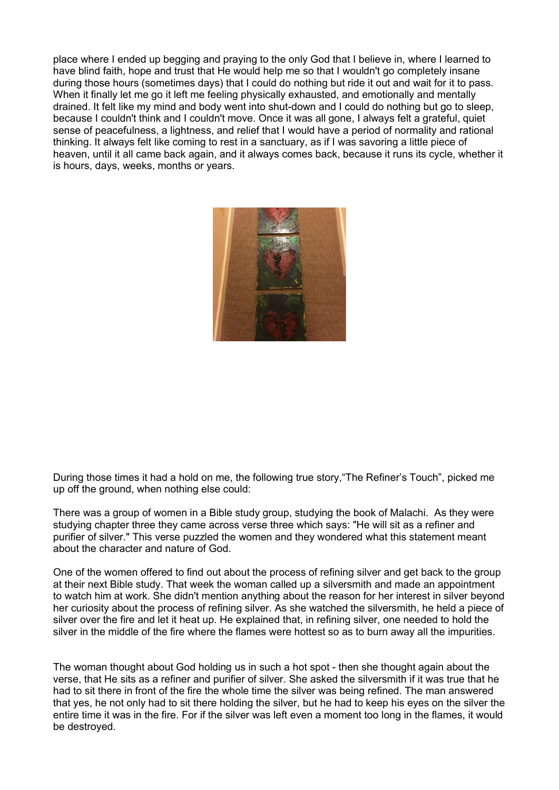place where I ended up begging and praying to the only God that I believe in, where I learned to have blind faith, hope and trust that He would help me so that I wouldn't go completely insane during those hours (sometimes days) that I could do nothing but ride it out and wait for it to pass. When it finally let me go it left me feeling physically exhausted, and emotionally and mentally drained. It felt like my mind and body went into shut-down and I could do nothing but go to sleep, because I couldn't think and I couldn't move. Once it was all gone, I always felt a grateful, quiet sense of peacefulness, a lightness, and relief that I would have a period of normality and rational thinking. It always felt like coming to rest in a sanctuary, as if I was savoring a little piece of heaven, until it all came back again, and it always comes back, because it runs its cycle, whether it is hours, days, weeks, months or years.



During those times it had a hold on me, the following true story,"The Refiner's Touch", picked me up off the ground, when nothing else could:

There was a group of women in a Bible study group, studying the book of Malachi. As they were studying chapter three they came across verse three which says: "He will sit as a refiner and purifier of silver." This verse puzzled the women and they wondered what this statement meant about the character and nature of God.

One of the women offered to find out about the process of refining silver and get back to the group at their next Bible study. That week the woman called up a silversmith and made an appointment to watch him at work. She didn't mention anything about the reason for her interest in silver beyond her curiosity about the process of refining silver. As she watched the silversmith, he held a piece of silver over the fire and let it heat up. He explained that, in refining silver, one needed to hold the silver in the middle of the fire where the flames were hottest so as to burn away all the impurities.

The woman thought about God holding us in such a hot spot - then she thought again about the verse, that He sits as a refiner and purifier of silver. She asked the silversmith if it was true that he had to sit there in front of the fire the whole time the silver was being refined. The man answered that yes, he not only had to sit there holding the silver, but he had to keep his eyes on the silver the entire time it was in the fire. For if the silver was left even a moment too long in the flames, it would be destroyed.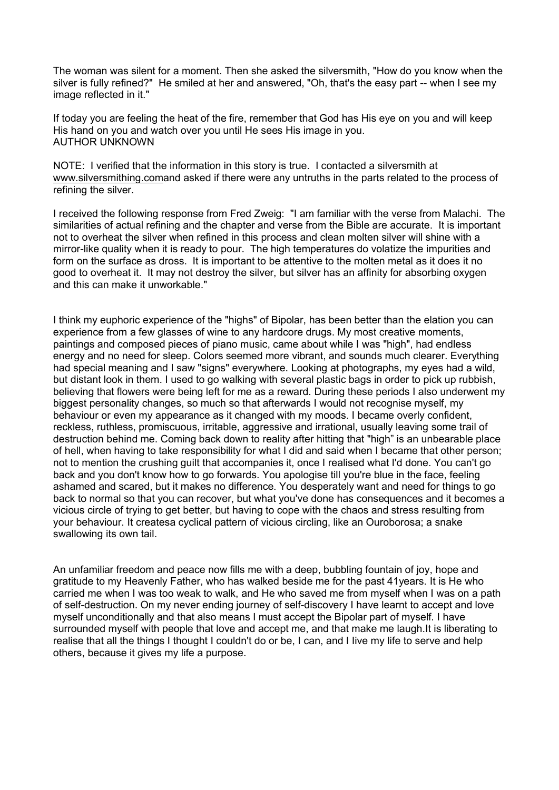The woman was silent for a moment. Then she asked the silversmith, "How do you know when the silver is fully refined?" He smiled at her and answered, "Oh, that's the easy part -- when I see my image reflected in it."

If today you are feeling the heat of the fire, remember that God has His eye on you and will keep His hand on you and watch over you until He sees His image in you. AUTHOR UNKNOWN

NOTE: I verified that the information in this story is true. I contacted a silversmith at www.silversmithing.comand asked if there were any untruths in the parts related to the process of refining the silver.

I received the following response from Fred Zweig: "I am familiar with the verse from Malachi. The similarities of actual refining and the chapter and verse from the Bible are accurate. It is important not to overheat the silver when refined in this process and clean molten silver will shine with a mirror-like quality when it is ready to pour. The high temperatures do volatize the impurities and form on the surface as dross. It is important to be attentive to the molten metal as it does it no good to overheat it. It may not destroy the silver, but silver has an affinity for absorbing oxygen and this can make it unworkable."

I think my euphoric experience of the "highs" of Bipolar, has been better than the elation you can experience from a few glasses of wine to any hardcore drugs. My most creative moments, paintings and composed pieces of piano music, came about while I was "high", had endless energy and no need for sleep. Colors seemed more vibrant, and sounds much clearer. Everything had special meaning and I saw "signs" everywhere. Looking at photographs, my eyes had a wild, but distant look in them. I used to go walking with several plastic bags in order to pick up rubbish, believing that flowers were being left for me as a reward. During these periods I also underwent my biggest personality changes, so much so that afterwards I would not recognise myself, my behaviour or even my appearance as it changed with my moods. I became overly confident, reckless, ruthless, promiscuous, irritable, aggressive and irrational, usually leaving some trail of destruction behind me. Coming back down to reality after hitting that "high" is an unbearable place of hell, when having to take responsibility for what I did and said when I became that other person; not to mention the crushing guilt that accompanies it, once I realised what I'd done. You can't go back and you don't know how to go forwards. You apologise till you're blue in the face, feeling ashamed and scared, but it makes no difference. You desperately want and need for things to go back to normal so that you can recover, but what you've done has consequences and it becomes a vicious circle of trying to get better, but having to cope with the chaos and stress resulting from your behaviour. It createsa cyclical pattern of vicious circling, like an Ouroborosa; a snake swallowing its own tail.

An unfamiliar freedom and peace now fills me with a deep, bubbling fountain of joy, hope and gratitude to my Heavenly Father, who has walked beside me for the past 41years. It is He who carried me when I was too weak to walk, and He who saved me from myself when I was on a path of self-destruction. On my never ending journey of self-discovery I have learnt to accept and love myself unconditionally and that also means I must accept the Bipolar part of myself. I have surrounded myself with people that love and accept me, and that make me laugh.It is liberating to realise that all the things I thought I couldn't do or be, I can, and I Iive my life to serve and help others, because it gives my life a purpose.